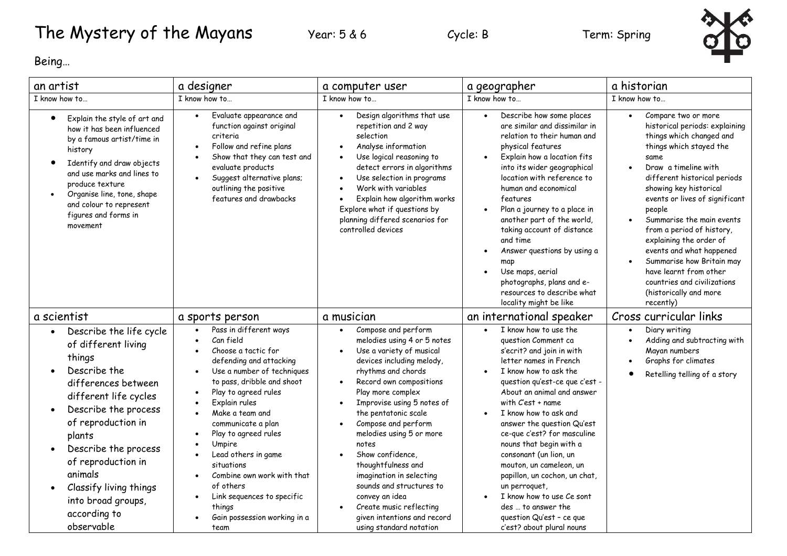## The Mystery of the Mayans Year: 5 & 6 Cycle: B Term: Spring



Being…

| an artist                                                                                                                                                                                                                                                                                                                           | a designer                                                                                                                                                                                                                                                                                                                                                                                                                                                      | a computer user                                                                                                                                                                                                                                                                                                                                                                                                                                                                                                                                                               | a geographer                                                                                                                                                                                                                                                                                                                                                                                                                                                                                                                                                       | a historian                                                                                                                                                                                                                                                                                                                                                                                                                                                                                                                             |
|-------------------------------------------------------------------------------------------------------------------------------------------------------------------------------------------------------------------------------------------------------------------------------------------------------------------------------------|-----------------------------------------------------------------------------------------------------------------------------------------------------------------------------------------------------------------------------------------------------------------------------------------------------------------------------------------------------------------------------------------------------------------------------------------------------------------|-------------------------------------------------------------------------------------------------------------------------------------------------------------------------------------------------------------------------------------------------------------------------------------------------------------------------------------------------------------------------------------------------------------------------------------------------------------------------------------------------------------------------------------------------------------------------------|--------------------------------------------------------------------------------------------------------------------------------------------------------------------------------------------------------------------------------------------------------------------------------------------------------------------------------------------------------------------------------------------------------------------------------------------------------------------------------------------------------------------------------------------------------------------|-----------------------------------------------------------------------------------------------------------------------------------------------------------------------------------------------------------------------------------------------------------------------------------------------------------------------------------------------------------------------------------------------------------------------------------------------------------------------------------------------------------------------------------------|
| I know how to                                                                                                                                                                                                                                                                                                                       | I know how to                                                                                                                                                                                                                                                                                                                                                                                                                                                   | I know how to                                                                                                                                                                                                                                                                                                                                                                                                                                                                                                                                                                 | I know how to                                                                                                                                                                                                                                                                                                                                                                                                                                                                                                                                                      | I know how to                                                                                                                                                                                                                                                                                                                                                                                                                                                                                                                           |
| Explain the style of art and<br>$\bullet$<br>how it has been influenced<br>by a famous artist/time in<br>history<br>Identify and draw objects<br>$\bullet$<br>and use marks and lines to<br>produce texture<br>Organise line, tone, shape<br>$\bullet$<br>and colour to represent<br>figures and forms in<br>movement               | Evaluate appearance and<br>$\bullet$<br>function against original<br>criteria<br>Follow and refine plans<br>Show that they can test and<br>evaluate products<br>Suggest alternative plans;<br>outlining the positive<br>features and drawbacks                                                                                                                                                                                                                  | Design algorithms that use<br>repetition and 2 way<br>selection<br>Analyse information<br>Use logical reasoning to<br>detect errors in algorithms<br>Use selection in programs<br>Work with variables<br>Explain how algorithm works<br>Explore what if questions by<br>planning differed scenarios for<br>controlled devices                                                                                                                                                                                                                                                 | Describe how some places<br>$\bullet$<br>are similar and dissimilar in<br>relation to their human and<br>physical features<br>Explain how a location fits<br>$\bullet$<br>into its wider geographical<br>location with reference to<br>human and economical<br>features<br>Plan a journey to a place in<br>another part of the world,<br>taking account of distance<br>and time<br>Answer questions by using a<br>map<br>Use maps, aerial<br>photographs, plans and e-<br>resources to describe what<br>locality might be like                                     | Compare two or more<br>$\bullet$<br>historical periods: explaining<br>things which changed and<br>things which stayed the<br>same<br>Draw a timeline with<br>$\bullet$<br>different historical periods<br>showing key historical<br>events or lives of significant<br>people<br>Summarise the main events<br>$\bullet$<br>from a period of history,<br>explaining the order of<br>events and what happened<br>Summarise how Britain may<br>have learnt from other<br>countries and civilizations<br>(historically and more<br>recently) |
| a scientist                                                                                                                                                                                                                                                                                                                         | a sports person                                                                                                                                                                                                                                                                                                                                                                                                                                                 | a musician                                                                                                                                                                                                                                                                                                                                                                                                                                                                                                                                                                    | an international speaker                                                                                                                                                                                                                                                                                                                                                                                                                                                                                                                                           | Cross curricular links                                                                                                                                                                                                                                                                                                                                                                                                                                                                                                                  |
| Describe the life cycle<br>of different living<br>things<br>Describe the<br>differences between<br>different life cycles<br>Describe the process<br>$\bullet$<br>of reproduction in<br>plants<br>Describe the process<br>of reproduction in<br>animals<br>Classify living things<br>into broad groups<br>according to<br>observable | Pass in different ways<br>$\bullet$<br>Can field<br>Choose a tactic for<br>defending and attacking<br>Use a number of techniques<br>$\bullet$<br>to pass, dribble and shoot<br>Play to agreed rules<br>Explain rules<br>Make a team and<br>communicate a plan<br>Play to agreed rules<br>Umpire<br>Lead others in game<br>situations<br>Combine own work with that<br>of others<br>Link sequences to specific<br>things<br>Gain possession working in a<br>team | Compose and perform<br>$\bullet$<br>melodies using 4 or 5 notes<br>Use a variety of musical<br>$\bullet$<br>devices including melody,<br>rhythms and chords<br>Record own compositions<br>$\bullet$<br>Play more complex<br>Improvise using 5 notes of<br>$\bullet$<br>the pentatonic scale<br>Compose and perform<br>$\bullet$<br>melodies using 5 or more<br>notes<br>Show confidence.<br>thoughtfulness and<br>imagination in selecting<br>sounds and structures to<br>convey an idea<br>Create music reflecting<br>given intentions and record<br>using standard notation | I know how to use the<br>$\bullet$<br>question Comment ca<br>s'ecrit? and join in with<br>letter names in French<br>I know how to ask the<br>question qu'est-ce que c'est -<br>About an animal and answer<br>with C'est + name<br>I know how to ask and<br>answer the question Qu'est<br>ce-que c'est? for masculine<br>nouns that begin with a<br>consonant (un lion, un<br>mouton, un cameleon, un<br>papillon, un cochon, un chat,<br>un perroquet,<br>I know how to use Ce sont<br>des  to answer the<br>question Qu'est - ce que<br>c'est? about plural nouns | Diary writing<br>$\bullet$<br>Adding and subtracting with<br>Mayan numbers<br>Graphs for climates<br>Retelling telling of a story                                                                                                                                                                                                                                                                                                                                                                                                       |